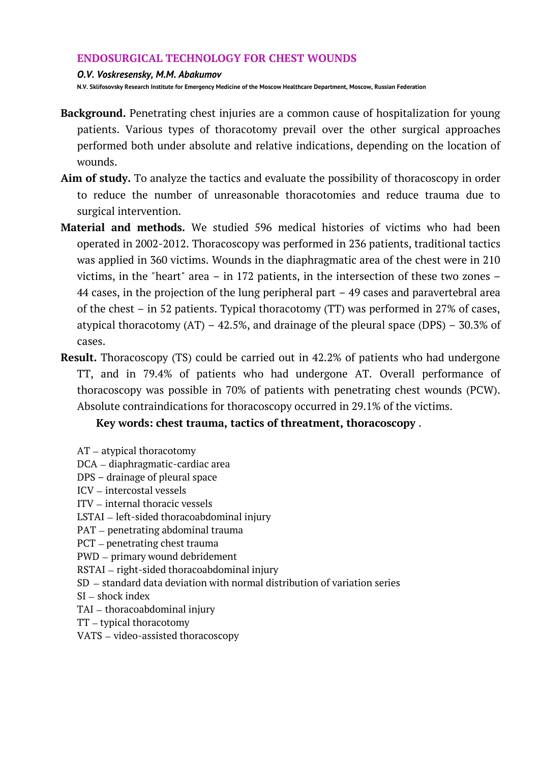## **ENDOSURGICAL TECHNOLOGY FOR CHEST WOUNDS**

### *O.V. Voskresensky, M.M. Abakumov*

**N.V. Sklifosovsky Research Institute for Emergency Medicine of the Moscow Healthcare Department, Moscow, Russian Federation**

- **Background.** Penetrating chest injuries are a common cause of hospitalization for young patients. Various types of thoracotomy prevail over the other surgical approaches performed both under absolute and relative indications, depending on the location of wounds.
- **Aim of study.** To analyze the tactics and evaluate the possibility of thoracoscopy in order to reduce the number of unreasonable thoracotomies and reduce trauma due to surgical intervention.
- **Material and methods.** We studied 596 medical histories of victims who had been operated in 2002-2012. Thoracoscopy was performed in 236 patients, traditional tactics was applied in 360 victims. Wounds in the diaphragmatic area of the chest were in 210 victims, in the "heart" area – in 172 patients, in the intersection of these two zones – 44 cases, in the projection of the lung peripheral part – 49 cases and paravertebral area of the chest – in 52 patients. Typical thoracotomy (TT) was performed in 27% of cases, atypical thoracotomy  $(AT) - 42.5\%$ , and drainage of the pleural space  $(DPS) - 30.3\%$  of cases.
- **Result.** Thoracoscopy (TS) could be carried out in 42.2% of patients who had undergone TT, and in 79.4% of patients who had undergone AT. Overall performance of thoracoscopy was possible in 70% of patients with penetrating chest wounds (PCW). Absolute contraindications for thoracoscopy occurred in 29.1% of the victims.

# **Key words: chest trauma, tactics of threatment, thoracoscopy** .

- AT atypical thoracotomy
- DCA diaphragmatic-cardiac area
- DPS drainage of pleural space
- ICV intercostal vessels
- ITV internal thoracic vessels
- LSTAI left-sided thoracoabdominal injury
- PAT penetrating abdominal trauma
- PCT penetrating chest trauma
- PWD primary wound debridement
- RSTAI right-sided thoracoabdominal injury
- SD standard data deviation with normal distribution of variation series
- SI shock index
- TAI thoracoabdominal injury
- TT typical thoracotomy
- VATS video-assisted thoracoscopy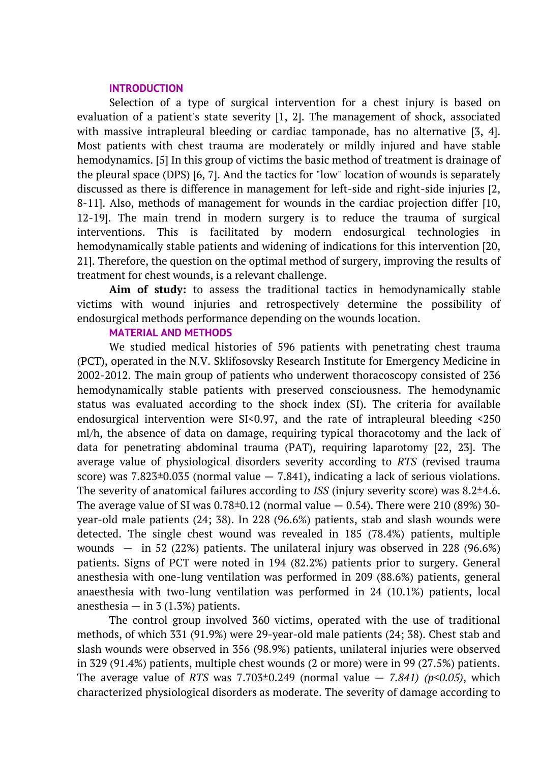### **INTRODUCTION**

Selection of a type of surgical intervention for a chest injury is based on evaluation of a patient's state severity [1, 2]. The management of shock, associated with massive intrapleural bleeding or cardiac tamponade, has no alternative [3, 4]. Most patients with chest trauma are moderately or mildly injured and have stable hemodynamics. [5] In this group of victims the basic method of treatment is drainage of the pleural space (DPS) [6, 7]. And the tactics for "low" location of wounds is separately discussed as there is difference in management for left-side and right-side injuries [2, 8-11]. Also, methods of management for wounds in the cardiac projection differ [10, 12-19]. The main trend in modern surgery is to reduce the trauma of surgical interventions. This is facilitated by modern endosurgical technologies in hemodynamically stable patients and widening of indications for this intervention [20, 21]. Therefore, the question on the optimal method of surgery, improving the results of treatment for chest wounds, is a relevant challenge.

**Aim of study:** to assess the traditional tactics in hemodynamically stable victims with wound injuries and retrospectively determine the possibility of endosurgical methods performance depending on the wounds location.

### **MATERIAL AND METHODS**

We studied medical histories of 596 patients with penetrating chest trauma (PCT), operated in the N.V. Sklifosovsky Research Institute for Emergency Medicine in 2002-2012. The main group of patients who underwent thoracoscopy consisted of 236 hemodynamically stable patients with preserved consciousness. The hemodynamic status was evaluated according to the shock index (SI). The criteria for available endosurgical intervention were SI<0.97, and the rate of intrapleural bleeding <250 ml/h, the absence of data on damage, requiring typical thoracotomy and the lack of data for penetrating abdominal trauma (PAT), requiring laparotomy [22, 23]. The average value of physiological disorders severity according to *RTS* (revised trauma score) was  $7.823 \pm 0.035$  (normal value  $-7.841$ ), indicating a lack of serious violations. The severity of anatomical failures according to *ISS* (injury severity score) was 8.2±4.6. The average value of SI was  $0.78\pm0.12$  (normal value  $-0.54$ ). There were 210 (89%) 30year-old male patients (24; 38). In 228 (96.6%) patients, stab and slash wounds were detected. The single chest wound was revealed in 185 (78.4%) patients, multiple wounds  $-$  in 52 (22%) patients. The unilateral injury was observed in 228 (96.6%) patients. Signs of PCT were noted in 194 (82.2%) patients prior to surgery. General anesthesia with one-lung ventilation was performed in 209 (88.6%) patients, general anaesthesia with two-lung ventilation was performed in 24 (10.1%) patients, local anesthesia  $-$  in 3 (1.3%) patients.

The control group involved 360 victims, operated with the use of traditional methods, of which 331 (91.9%) were 29-year-old male patients (24; 38). Chest stab and slash wounds were observed in 356 (98.9%) patients, unilateral injuries were observed in 329 (91.4%) patients, multiple chest wounds (2 or more) were in 99 (27.5%) patients. The average value of *RTS* was 7.703 $\pm$ 0.249 (normal value  $-$  7.841) ( $p$ <0.05), which characterized physiological disorders as moderate. The severity of damage according to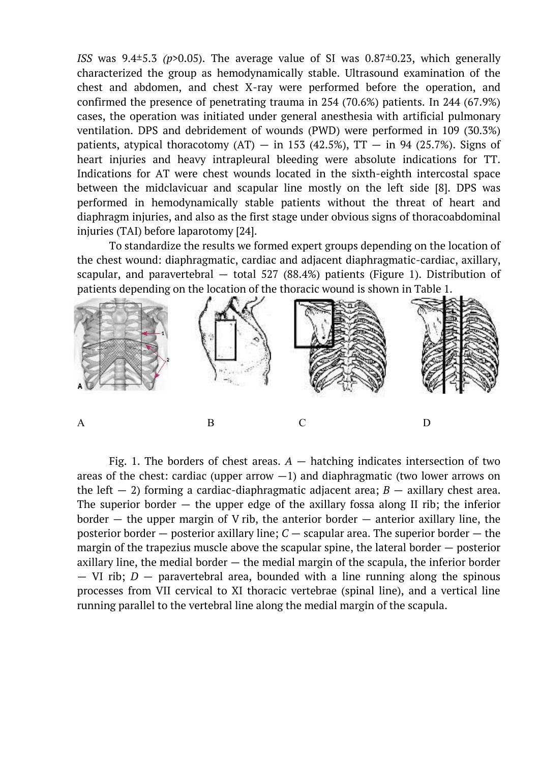*ISS* was 9.4±5.3 *(p>*0.05). The average value of SI was 0.87±0.23, which generally characterized the group as hemodynamically stable. Ultrasound examination of the chest and abdomen, and chest X-ray were performed before the operation, and confirmed the presence of penetrating trauma in 254 (70.6%) patients. In 244 (67.9%) cases, the operation was initiated under general anesthesia with artificial pulmonary ventilation. DPS and debridement of wounds (PWD) were performed in 109 (30.3%) patients, atypical thoracotomy  $(AT)$  – in 153 (42.5%), TT – in 94 (25.7%). Signs of heart injuries and heavy intrapleural bleeding were absolute indications for TT. Indications for AT were chest wounds located in the sixth-eighth intercostal space between the midclavicuar and scapular line mostly on the left side [8]. DPS was performed in hemodynamically stable patients without the threat of heart and diaphragm injuries, and also as the first stage under obvious signs of thoracoabdominal injuries (TAI) before laparotomy [24].

To standardize the results we formed expert groups depending on the location of the chest wound: diaphragmatic, cardiac and adjacent diaphragmatic-cardiac, axillary, scapular, and paravertebral — total 527 (88.4%) patients (Figure 1). Distribution of patients depending on the location of the thoracic wound is shown in Table 1.



Fig. 1. The borders of chest areas.  $A$  — hatching indicates intersection of two areas of the chest: cardiac (upper arrow  $-1$ ) and diaphragmatic (two lower arrows on the left  $-2$ ) forming a cardiac-diaphragmatic adjacent area; *B*  $-$  axillary chest area. The superior border  $-$  the upper edge of the axillary fossa along II rib; the inferior border  $-$  the upper margin of V rib, the anterior border  $-$  anterior axillary line, the posterior border — posterior axillary line; *C* — scapular area. The superior border — the margin of the trapezius muscle above the scapular spine, the lateral border — posterior axillary line, the medial border  $-$  the medial margin of the scapula, the inferior border — VI rib; *D* — paravertebral area, bounded with a line running along the spinous processes from VII cervical to XI thoracic vertebrae (spinal line), and a vertical line running parallel to the vertebral line along the medial margin of the scapula.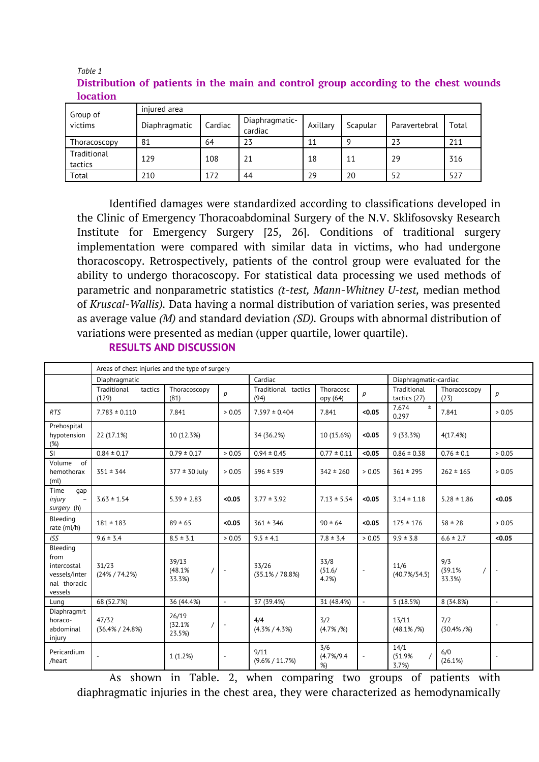| Group of<br>victims    | injured area  |         |                           |          |          |               |       |  |  |  |
|------------------------|---------------|---------|---------------------------|----------|----------|---------------|-------|--|--|--|
|                        | Diaphragmatic | Cardiac | Diaphragmatic-<br>cardiac | Axillary | Scapular | Paravertebral | Total |  |  |  |
| Thoracoscopy           | 81            | 64      | 23                        | 11       | q        | 23            | 211   |  |  |  |
| Traditional<br>tactics | 129           | 108     | 21                        | 18       | 11       | 29            | 316   |  |  |  |
| Total                  | 210           | 172     | 44                        | 29       | 20       | 52            | 527   |  |  |  |

### *Table 1* **Distribution of patients in the main and control group according to the chest wounds location**

Identified damages were standardized according to classifications developed in the Clinic of Emergency Thoracoabdominal Surgery of the N.V. Sklifosovsky Research Institute for Emergency Surgery [25, 26]. Conditions of traditional surgery implementation were compared with similar data in victims, who had undergone thoracoscopy. Retrospectively, patients of the control group were evaluated for the ability to undergo thoracoscopy. For statistical data processing we used methods of parametric and nonparametric statistics *(t-test, Mann-Whitney U-test,* median method of *Kruscal-Wallis).* Data having a normal distribution of variation series, was presented as average value *(M)* and standard deviation *(SD).* Groups with abnormal distribution of variations were presented as median (upper quartile, lower quartile).

## **RESULTS AND DISCUSSION**

|                                                                             | Areas of chest injuries and the type of surgery |                                       |                          |                              |                            |                |                             |                         |                          |
|-----------------------------------------------------------------------------|-------------------------------------------------|---------------------------------------|--------------------------|------------------------------|----------------------------|----------------|-----------------------------|-------------------------|--------------------------|
|                                                                             | Diaphragmatic                                   |                                       |                          | Cardiac                      |                            |                | Diaphragmatic-cardiac       |                         |                          |
|                                                                             | tactics<br>Traditional<br>(129)                 | Thoracoscopy<br>(81)                  | $\mathcal{D}$            | Traditional tactics<br>(94)  | Thoracosc<br>opy (64)      | p              | Traditional<br>tactics (27) | Thoracoscopy<br>(23)    | $\boldsymbol{p}$         |
| <b>RTS</b>                                                                  | $7.783 \pm 0.110$                               | 7.841                                 | > 0.05                   | $7.597 \pm 0.404$            | 7.841                      | < 0.05         | $\pm$<br>7.674<br>0.297     | 7.841                   | > 0.05                   |
| Prehospital<br>hypotension<br>(%)                                           | 22 (17.1%)                                      | 10 (12.3%)                            |                          | 34 (36.2%)                   | 10 (15.6%)                 | < 0.05         | 9(33.3%)                    | 4(17.4%)                |                          |
| SI                                                                          | $0.84 \pm 0.17$                                 | $0.79 \pm 0.17$                       | > 0.05                   | $0.94 \pm 0.45$              | $0.77 \pm 0.11$            | < 0.05         | $0.86 \pm 0.38$             | $0.76 \pm 0.1$          | > 0.05                   |
| Volume<br>of<br>hemothorax<br>(ml)                                          | $351 \pm 344$                                   | $377 \pm 30$ July                     | > 0.05                   | $596 \pm 539$                | $342 \pm 260$              | > 0.05         | $361 \pm 295$               | $262 \pm 165$           | > 0.05                   |
| Time<br>qap<br>injury<br>$\overline{\phantom{a}}$<br>surgery (h)            | $3.63 \pm 1.54$                                 | $5.39 \pm 2.83$                       | < 0.05                   | $3.77 \pm 3.92$              | $7.13 \pm 5.54$            | < 0.05         | $3.14 \pm 1.18$             | $5.28 \pm 1.86$         | < 0.05                   |
| Bleeding<br>rate (ml/h)                                                     | $181 \pm 183$                                   | $89 \pm 65$                           | < 0.05                   | $361 \pm 346$                | $90 \pm 64$                | < 0.05         | $175 \pm 176$               | $58 \pm 28$             | > 0.05                   |
| <b>ISS</b>                                                                  | $9.6 \pm 3.4$                                   | $8.5 \pm 3.1$                         | > 0.05                   | $9.5 \pm 4.1$                | $7.8 \pm 3.4$              | > 0.05         | $9.9 \pm 3.8$               | $6.6 \pm 2.7$           | < 0.05                   |
| Bleeding<br>from<br>intercostal<br>vessels/inter<br>nal thoracic<br>vessels | 31/23<br>$(24\% / 74.2\%)$                      | 39/13<br>(48.1%<br>$\prime$<br>33.3%) |                          | 33/26<br>$(35.1\% / 78.8\%)$ | 33/8<br>(51.6/<br>4.2%     | $\blacksquare$ | 11/6<br>$(40.7\%/54.5)$     | 9/3<br>(39.1%<br>33.3%) | $\overline{a}$           |
| Lung                                                                        | 68 (52.7%)                                      | 36 (44.4%)                            | $\overline{\phantom{a}}$ | 37 (39.4%)                   | 31 (48.4%)                 | $\blacksquare$ | 5(18.5%)                    | 8 (34.8%)               | $\overline{\phantom{a}}$ |
| Diaphragm/t<br>horaco-<br>abdominal<br>injury                               | 47/32<br>$(36.4\% / 24.8\%)$                    | 26/19<br>(32.1%<br>$\prime$<br>23.5%) |                          | 4/4<br>$(4.3\% / 4.3\%)$     | 3/2<br>$(4.7\%$ /%)        |                | 13/11<br>$(48.1\%$ /%)      | 7/2<br>$(30.4\%$ /%)    | $\overline{a}$           |
| Pericardium<br>/heart                                                       |                                                 | 1(1.2%)                               |                          | 9/11<br>$(9.6\% / 11.7\%)$   | 3/6<br>$(4.7\%/9.4)$<br>%) |                | 14/1<br>(51.9%<br>3.7%      | 6/0<br>(26.1%)          |                          |

As shown in Table. 2, when comparing two groups of patients with diaphragmatic injuries in the chest area, they were characterized as hemodynamically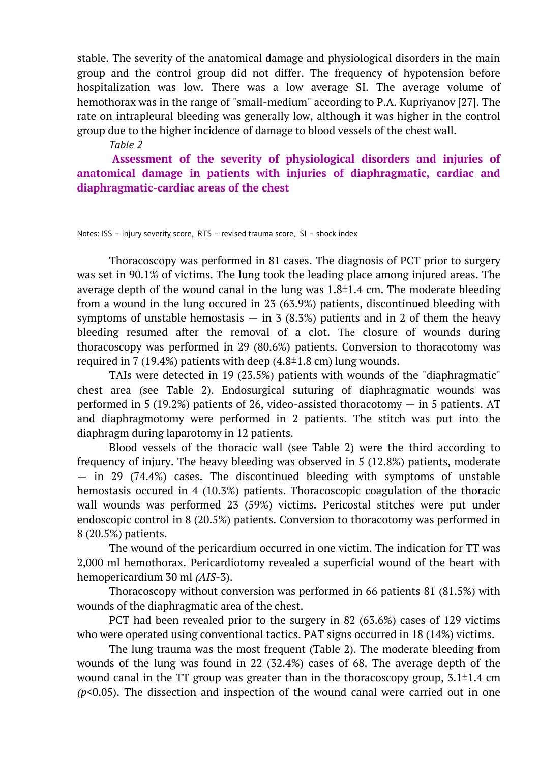stable. The severity of the anatomical damage and physiological disorders in the main group and the control group did not differ. The frequency of hypotension before hospitalization was low. There was a low average SI. The average volume of hemothorax was in the range of "small-medium" according to P.A. Kupriyanov [27]. The rate on intrapleural bleeding was generally low, although it was higher in the control group due to the higher incidence of damage to blood vessels of the chest wall.

*Table 2*

**Assessment of the severity of physiological disorders and injuries of anatomical damage in patients with injuries of diaphragmatic, cardiac and diaphragmatic-cardiac areas of the chest**

Notes: ISS – injury severity score, RTS – revised trauma score, SI – shock index

Thoracoscopy was performed in 81 cases. The diagnosis of PCT prior to surgery was set in 90.1% of victims. The lung took the leading place among injured areas. The average depth of the wound canal in the lung was  $1.8\pm1.4$  cm. The moderate bleeding from a wound in the lung occured in 23 (63.9%) patients, discontinued bleeding with symptoms of unstable hemostasis  $-$  in 3 (8.3%) patients and in 2 of them the heavy bleeding resumed after the removal of a clot. The closure of wounds during thoracoscopy was performed in 29 (80.6%) patients. Conversion to thoracotomy was required in 7 (19.4%) patients with deep  $(4.8\pm1.8 \text{ cm})$  lung wounds.

TAIs were detected in 19 (23.5%) patients with wounds of the "diaphragmatic" chest area (see Table 2). Endosurgical suturing of diaphragmatic wounds was performed in 5 (19.2%) patients of 26, video-assisted thoracotomy  $-$  in 5 patients. AT and diaphragmotomy were performed in 2 patients. The stitch was put into the diaphragm during laparotomy in 12 patients.

Blood vessels of the thoracic wall (see Table 2) were the third according to frequency of injury. The heavy bleeding was observed in 5 (12.8%) patients, moderate — in 29 (74.4%) cases. The discontinued bleeding with symptoms of unstable hemostasis occured in 4 (10.3%) patients. Thoracoscopic coagulation of the thoracic wall wounds was performed 23 (59%) victims. Pericostal stitches were put under endoscopic control in 8 (20.5%) patients. Conversion to thoracotomy was performed in 8 (20.5%) patients.

The wound of the pericardium occurred in one victim. The indication for TT was 2,000 ml hemothorax. Pericardiotomy revealed a superficial wound of the heart with hemopericardium 30 ml *(AIS*-3).

Thoracoscopy without conversion was performed in 66 patients 81 (81.5%) with wounds of the diaphragmatic area of the chest.

PCT had been revealed prior to the surgery in 82 (63.6%) cases of 129 victims who were operated using conventional tactics. PAT signs occurred in 18 (14%) victims.

The lung trauma was the most frequent (Table 2). The moderate bleeding from wounds of the lung was found in 22 (32.4%) cases of 68. The average depth of the wound canal in the TT group was greater than in the thoracoscopy group,  $3.1\pm1.4$  cm *(p*<0.05). The dissection and inspection of the wound canal were carried out in one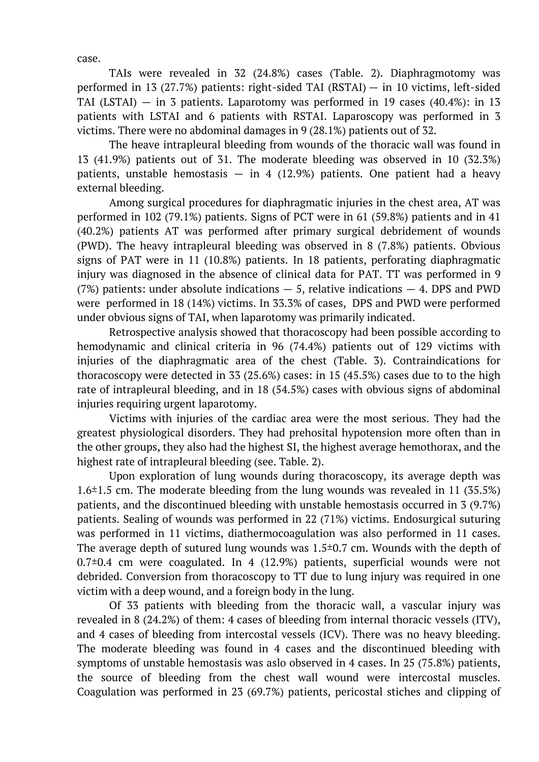case.

TAIs were revealed in 32 (24.8%) cases (Table. 2). Diaphragmotomy was performed in 13 (27.7%) patients: right-sided TAI (RSTAI) — in 10 victims, left-sided TAI (LSTAI)  $-$  in 3 patients. Laparotomy was performed in 19 cases (40.4%): in 13 patients with LSTAI and 6 patients with RSTAI. Laparoscopy was performed in 3 victims. There were no abdominal damages in 9 (28.1%) patients out of 32.

The heave intrapleural bleeding from wounds of the thoracic wall was found in 13 (41.9%) patients out of 31. The moderate bleeding was observed in 10 (32.3%) patients, unstable hemostasis  $-$  in 4 (12.9%) patients. One patient had a heavy external bleeding.

Among surgical procedures for diaphragmatic injuries in the chest area, AT was performed in 102 (79.1%) patients. Signs of PCT were in 61 (59.8%) patients and in 41 (40.2%) patients AT was performed after primary surgical debridement of wounds (PWD). The heavy intrapleural bleeding was observed in 8 (7.8%) patients. Obvious signs of PAT were in 11 (10.8%) patients. In 18 patients, perforating diaphragmatic injury was diagnosed in the absence of clinical data for PAT. TT was performed in 9 (7%) patients: under absolute indications  $-5$ , relative indications  $-4$ . DPS and PWD were performed in 18 (14%) victims. In 33.3% of cases, DPS and PWD were performed under obvious signs of TAI, when laparotomy was primarily indicated.

Retrospective analysis showed that thoracoscopy had been possible according to hemodynamic and clinical criteria in 96 (74.4%) patients out of 129 victims with injuries of the diaphragmatic area of the chest (Table. 3). Contraindications for thoracoscopy were detected in 33 (25.6%) cases: in 15 (45.5%) cases due to to the high rate of intrapleural bleeding, and in 18 (54.5%) cases with obvious signs of abdominal injuries requiring urgent laparotomy.

Victims with injuries of the cardiac area were the most serious. They had the greatest physiological disorders. They had prehosital hypotension more often than in the other groups, they also had the highest SI, the highest average hemothorax, and the highest rate of intrapleural bleeding (see. Table. 2).

Upon exploration of lung wounds during thoracoscopy, its average depth was 1.6±1.5 cm. The moderate bleeding from the lung wounds was revealed in 11 (35.5%) patients, and the discontinued bleeding with unstable hemostasis occurred in 3 (9.7%) patients. Sealing of wounds was performed in 22 (71%) victims. Endosurgical suturing was performed in 11 victims, diathermocoagulation was also performed in 11 cases. The average depth of sutured lung wounds was  $1.5\pm0.7$  cm. Wounds with the depth of 0.7±0.4 cm were coagulated. In 4 (12.9%) patients, superficial wounds were not debrided. Conversion from thoracoscopy to TT due to lung injury was required in one victim with a deep wound, and a foreign body in the lung.

Of 33 patients with bleeding from the thoracic wall, a vascular injury was revealed in 8 (24.2%) of them: 4 cases of bleeding from internal thoracic vessels (ITV), and 4 cases of bleeding from intercostal vessels (ICV). There was no heavy bleeding. The moderate bleeding was found in 4 cases and the discontinued bleeding with symptoms of unstable hemostasis was aslo observed in 4 cases. In 25 (75.8%) patients, the source of bleeding from the chest wall wound were intercostal muscles. Coagulation was performed in 23 (69.7%) patients, pericostal stiches and clipping of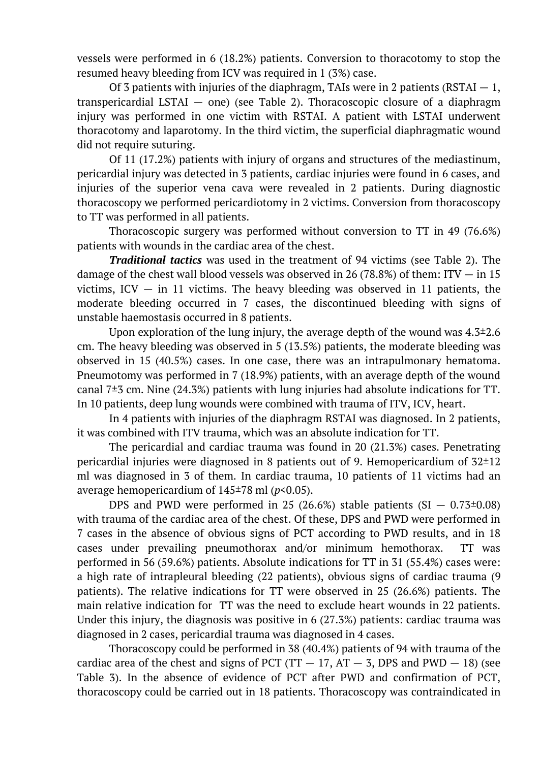vessels were performed in 6 (18.2%) patients. Conversion to thoracotomy to stop the resumed heavy bleeding from ICV was required in 1 (3%) case.

Of 3 patients with injuries of the diaphragm, TAIs were in 2 patients (RSTAI  $-1$ , transpericardial LSTAI — one) (see Table 2). Thoracoscopic closure of a diaphragm injury was performed in one victim with RSTAI. A patient with LSTAI underwent thoracotomy and laparotomy. In the third victim, the superficial diaphragmatic wound did not require suturing.

Of 11 (17.2%) patients with injury of organs and structures of the mediastinum, pericardial injury was detected in 3 patients, cardiac injuries were found in 6 cases, and injuries of the superior vena cava were revealed in 2 patients. During diagnostic thoracoscopy we performed pericardiotomy in 2 victims. Conversion from thoracoscopy to TT was performed in all patients.

Thoracoscopic surgery was performed without conversion to TT in 49 (76.6%) patients with wounds in the cardiac area of the chest.

*Traditional tactics* was used in the treatment of 94 victims (see Table 2). The damage of the chest wall blood vessels was observed in 26 (78.8%) of them: ITV  $-$  in 15 victims, ICV  $-$  in 11 victims. The heavy bleeding was observed in 11 patients, the moderate bleeding occurred in 7 cases, the discontinued bleeding with signs of unstable haemostasis occurred in 8 patients.

Upon exploration of the lung injury, the average depth of the wound was  $4.3\pm2.6$ cm. The heavy bleeding was observed in 5 (13.5%) patients, the moderate bleeding was observed in 15 (40.5%) cases. In one case, there was an intrapulmonary hematoma. Pneumotomy was performed in 7 (18.9%) patients, with an average depth of the wound canal 7±3 cm. Nine (24.3%) patients with lung injuries had absolute indications for TT. In 10 patients, deep lung wounds were combined with trauma of ITV, ICV, heart.

In 4 patients with injuries of the diaphragm RSTAI was diagnosed. In 2 patients, it was combined with ITV trauma, which was an absolute indication for TT.

The pericardial and cardiac trauma was found in 20 (21.3%) cases. Penetrating pericardial injuries were diagnosed in 8 patients out of 9. Hemopericardium of  $32\pm12$ ml was diagnosed in 3 of them. In cardiac trauma, 10 patients of 11 victims had an average hemopericardium of 145±78 ml (*p*<0.05).

DPS and PWD were performed in 25 (26.6%) stable patients  $(SI - 0.73\pm0.08)$ with trauma of the cardiac area of the chest. Of these, DPS and PWD were performed in 7 cases in the absence of obvious signs of PCT according to PWD results, and in 18 cases under prevailing pneumothorax and/or minimum hemothorax. TT was performed in 56 (59.6%) patients. Absolute indications for TT in 31 (55.4%) cases were: a high rate of intrapleural bleeding (22 patients), obvious signs of cardiac trauma (9 patients). The relative indications for TT were observed in 25 (26.6%) patients. The main relative indication for TT was the need to exclude heart wounds in 22 patients. Under this injury, the diagnosis was positive in 6 (27.3%) patients: cardiac trauma was diagnosed in 2 cases, pericardial trauma was diagnosed in 4 cases.

Thoracoscopy could be performed in 38 (40.4%) patients of 94 with trauma of the cardiac area of the chest and signs of PCT (TT  $-17$ , AT  $-5$ , DPS and PWD  $-18$ ) (see Table 3). In the absence of evidence of PCT after PWD and confirmation of PCT, thoracoscopy could be carried out in 18 patients. Thoracoscopy was contraindicated in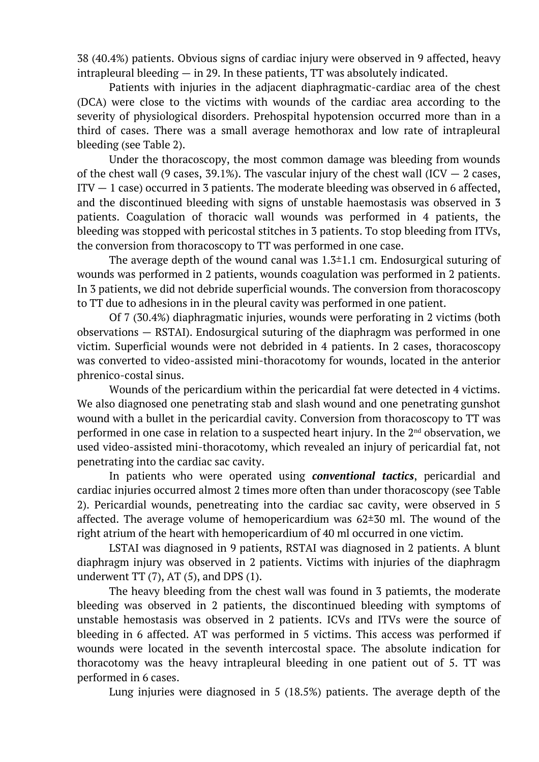38 (40.4%) patients. Obvious signs of cardiac injury were observed in 9 affected, heavy intrapleural bleeding — in 29. In these patients, TT was absolutely indicated.

Patients with injuries in the adjacent diaphragmatic-cardiac area of the chest (DCA) were close to the victims with wounds of the cardiac area according to the severity of physiological disorders. Prehospital hypotension occurred more than in a third of cases. There was a small average hemothorax and low rate of intrapleural bleeding (see Table 2).

Under the thoracoscopy, the most common damage was bleeding from wounds of the chest wall (9 cases, 39.1%). The vascular injury of the chest wall (ICV  $-$  2 cases,  $ITV - 1$  case) occurred in 3 patients. The moderate bleeding was observed in 6 affected, and the discontinued bleeding with signs of unstable haemostasis was observed in 3 patients. Coagulation of thoracic wall wounds was performed in 4 patients, the bleeding was stopped with pericostal stitches in 3 patients. To stop bleeding from ITVs, the conversion from thoracoscopy to TT was performed in one case.

The average depth of the wound canal was  $1.3\pm1.1$  cm. Endosurgical suturing of wounds was performed in 2 patients, wounds coagulation was performed in 2 patients. In 3 patients, we did not debride superficial wounds. The conversion from thoracoscopy to TT due to adhesions in in the pleural cavity was performed in one patient.

Of 7 (30.4%) diaphragmatic injuries, wounds were perforating in 2 victims (both observations — RSTAI). Endosurgical suturing of the diaphragm was performed in one victim. Superficial wounds were not debrided in 4 patients. In 2 cases, thoracoscopy was converted to video-assisted mini-thoracotomy for wounds, located in the anterior phrenico-costal sinus.

Wounds of the pericardium within the pericardial fat were detected in 4 victims. We also diagnosed one penetrating stab and slash wound and one penetrating gunshot wound with a bullet in the pericardial cavity. Conversion from thoracoscopy to TT was performed in one case in relation to a suspected heart injury. In the 2<sup>nd</sup> observation, we used video-assisted mini-thoracotomy, which revealed an injury of pericardial fat, not penetrating into the cardiac sac cavity.

In patients who were operated using *conventional tactics*, pericardial and cardiac injuries occurred almost 2 times more often than under thoracoscopy (see Table 2). Pericardial wounds, penetreating into the cardiac sac cavity, were observed in 5 affected. The average volume of hemopericardium was  $62\pm30$  ml. The wound of the right atrium of the heart with hemopericardium of 40 ml occurred in one victim.

LSTAI was diagnosed in 9 patients, RSTAI was diagnosed in 2 patients. A blunt diaphragm injury was observed in 2 patients. Victims with injuries of the diaphragm underwent  $TT(7)$ ,  $AT(5)$ , and DPS  $(1)$ .

The heavy bleeding from the chest wall was found in 3 patiemts, the moderate bleeding was observed in 2 patients, the discontinued bleeding with symptoms of unstable hemostasis was observed in 2 patients. ICVs and ITVs were the source of bleeding in 6 affected. AT was performed in 5 victims. This access was performed if wounds were located in the seventh intercostal space. The absolute indication for thoracotomy was the heavy intrapleural bleeding in one patient out of 5. TT was performed in 6 cases.

Lung injuries were diagnosed in 5 (18.5%) patients. The average depth of the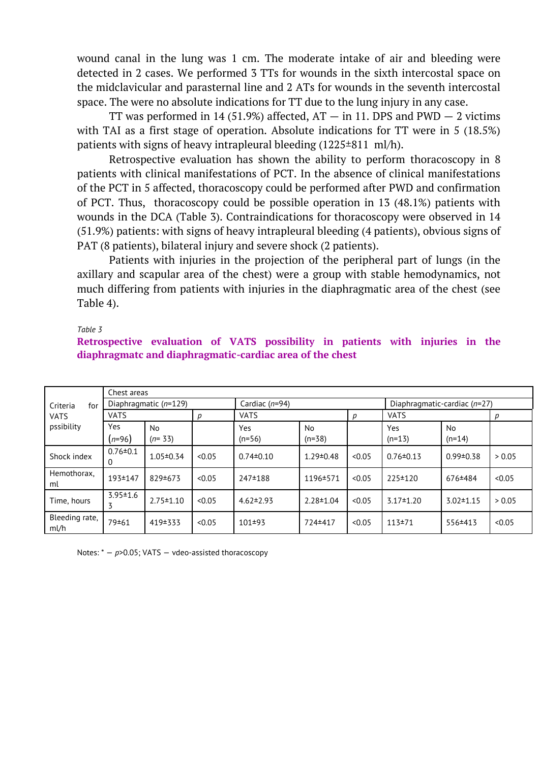wound canal in the lung was 1 cm. The moderate intake of air and bleeding were detected in 2 cases. We performed 3 TTs for wounds in the sixth intercostal space on the midclavicular and parasternal line and 2 ATs for wounds in the seventh intercostal space. The were no absolute indications for TT due to the lung injury in any case.

TT was performed in 14 (51.9%) affected,  $AT - in 11$ . DPS and PWD  $- 2$  victims with TAI as a first stage of operation. Absolute indications for TT were in 5 (18.5%) patients with signs of heavy intrapleural bleeding  $(1225\pm811 \text{ ml/h})$ .

Retrospective evaluation has shown the ability to perform thoracoscopy in 8 patients with clinical manifestations of PCT. In the absence of clinical manifestations of the PCT in 5 affected, thoracoscopy could be performed after PWD and confirmation of PCT. Thus, thoracoscopy could be possible operation in 13 (48.1%) patients with wounds in the DCA (Table 3). Contraindications for thoracoscopy were observed in 14 (51.9%) patients: with signs of heavy intrapleural bleeding (4 patients), obvious signs of PAT (8 patients), bilateral injury and severe shock (2 patients).

Patients with injuries in the projection of the peripheral part of lungs (in the axillary and scapular area of the chest) were a group with stable hemodynamics, not much differing from patients with injuries in the diaphragmatic area of the chest (see Table 4).

*Table 3*

### **Retrospective evaluation of VATS possibility in patients with injuries in the diaphragmatc and diaphragmatic-cardiac area of the chest**

|                                              | Chest areas             |                       |        |                  |                       |        |                                |                       |        |  |
|----------------------------------------------|-------------------------|-----------------------|--------|------------------|-----------------------|--------|--------------------------------|-----------------------|--------|--|
| Criteria<br>for<br><b>VATS</b><br>pssibility | Diaphragmatic $(n=129)$ |                       |        | Cardiac $(n=94)$ |                       |        | Diaphragmatic-cardiac $(n=27)$ |                       |        |  |
|                                              | <b>VATS</b>             |                       | р      | <b>VATS</b>      |                       |        | <b>VATS</b>                    |                       | p      |  |
|                                              | Yes<br>$(n=96)$         | <b>No</b><br>$(n=33)$ |        | Yes<br>$(n=56)$  | <b>No</b><br>$(n=38)$ |        | Yes<br>$(n=13)$                | <b>No</b><br>$(n=14)$ |        |  |
| Shock index                                  | $0.76 \pm 0.1$<br>0     | $1.05 \pm 0.34$       | < 0.05 | $0.74 \pm 0.10$  | $1.29 \pm 0.48$       | < 0.05 | $0.76 \pm 0.13$                | $0.99 \pm 0.38$       | > 0.05 |  |
| Hemothorax.<br>ml                            | 193±147                 | 829±673               | < 0.05 | 247±188          | 1196±571              | < 0.05 | 225 ± 120                      | 676±484               | < 0.05 |  |
| Time, hours                                  | $3.95 \pm 1.6$<br>3     | $2.75 \pm 1.10$       | < 0.05 | $4.62 \pm 2.93$  | $2.28 \pm 1.04$       | < 0.05 | $3.17 \pm 1.20$                | $3.02 \pm 1.15$       | > 0.05 |  |
| Bleeding rate,<br>ml/h                       | 79±61                   | 419 + 333             | < 0.05 | 101±93           | 724±417               | < 0.05 | 113±71                         | 556±413               | < 0.05 |  |

Notes: \* -  $p$ >0.05; VATS - vdeo-assisted thoracoscopy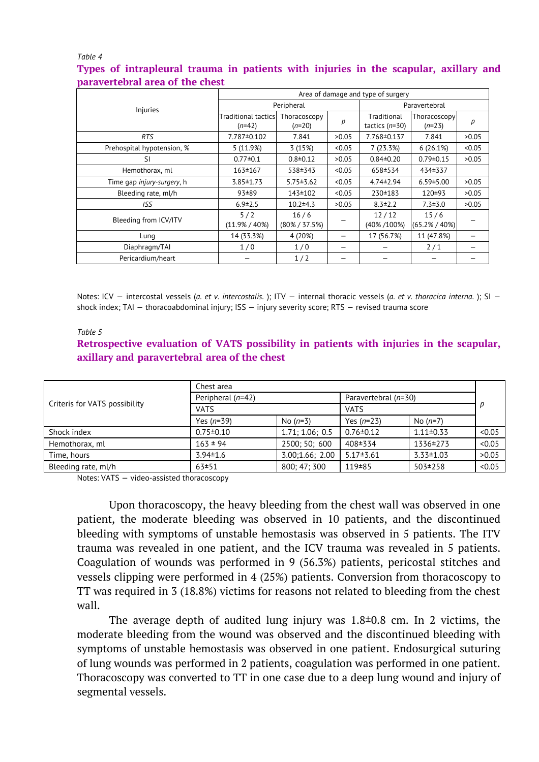#### *Table 4*

## **Types of intrapleural trauma in patients with injuries in the scapular, axillary and paravertebral area of the chest**

|                            | Area of damage and type of surgery |                           |               |                                 |                          |        |  |  |
|----------------------------|------------------------------------|---------------------------|---------------|---------------------------------|--------------------------|--------|--|--|
| Injuries                   |                                    | Peripheral                | Paravertebral |                                 |                          |        |  |  |
|                            | Traditional tactics!<br>$(n=42)$   | Thoracoscopy<br>$(n=20)$  | р             | Traditional<br>tactics $(n=30)$ | Thoracoscopy<br>$(n=23)$ | р      |  |  |
| <b>RTS</b>                 | 7.787±0.102                        | 7.841                     | >0.05         | 7.768±0.137                     | 7.841                    | >0.05  |  |  |
| Prehospital hypotension, % | 5(11.9%)                           | 3(15%)                    | < 0.05        | 7(23.3%)                        | 6(26.1%)                 | < 0.05 |  |  |
| <sup>SI</sup>              | $0.77 \pm 0.1$                     | $0.8 \pm 0.12$            | >0.05         | $0.84 \pm 0.20$                 | $0.79 \pm 0.15$          | >0.05  |  |  |
| Hemothorax, ml             | 163±167                            | 538±343                   | < 0.05        | 658±534                         | 434±337                  |        |  |  |
| Time gap injury-surgery, h | $3.85 \pm 1.73$                    | $5.75 \pm 3.62$           | < 0.05        | $4.74 \pm 2.94$                 | $6.59 \pm 5.00$          | >0.05  |  |  |
| Bleeding rate, ml/h        | $93 + 89$                          | 143±102                   | < 0.05        | 230±183                         | $120+93$                 | >0.05  |  |  |
| ISS                        | $6.9 \pm 2.5$                      | $10.2 + 4.3$              | >0.05         | $8.3 \pm 2.2$                   | $7.3 \pm 3.0$            | >0.05  |  |  |
| Bleeding from ICV/ITV      | 5/2<br>$(11.9\% / 40\%)$           | 16/6<br>$(80\% / 37.5\%)$ |               | 12/12<br>(40%/100%)             | 15/6<br>(65.2% / 40%)    |        |  |  |
| Lung                       | 14 (33.3%)                         | 4 (20%)                   |               | 17 (56.7%)                      | 11 (47.8%)               |        |  |  |
| Diaphragm/TAI              | 1/0                                | 1/0                       |               |                                 | 2/1                      |        |  |  |
| Pericardium/heart          |                                    | 1/2                       |               |                                 |                          |        |  |  |

Notes: ICV — intercostal vessels (*a. et v. intercostalis.* ); ITV — internal thoracic vessels (*a. et v. thoracica interna.* ); SI shock index; TAI — thoracoabdominal injury; ISS — injury severity score; RTS — revised trauma score

#### *Table 5*

## **Retrospective evaluation of VATS possibility in patients with injuries in the scapular, axillary and paravertebral area of the chest**

|                               | Chest area        |                 |                      |                 |        |  |  |
|-------------------------------|-------------------|-----------------|----------------------|-----------------|--------|--|--|
|                               | Peripheral (n=42) |                 | Paravertebral (n=30) |                 |        |  |  |
| Criteris for VATS possibility | <b>VATS</b>       |                 | <b>VATS</b>          |                 |        |  |  |
|                               | Yes $(n=39)$      | No $(n=3)$      | Yes $(n=23)$         | No $(n=7)$      |        |  |  |
| Shock index                   | $0.75 \pm 0.10$   | 1.71; 1.06; 0.5 | $0.76 \pm 0.12$      | $1.11 \pm 0.33$ | < 0.05 |  |  |
| Hemothorax, ml                | $163 \pm 94$      | 2500; 50; 600   | 408±334              | 1336±273        | < 0.05 |  |  |
| Time, hours                   | $3.94 \pm 1.6$    | 3.00;1.66;2.00  | $5.17 \pm 3.61$      | $3.33 \pm 1.03$ | >0.05  |  |  |
| Bleeding rate, ml/h           | $63+51$           | 800: 47: 300    | 119 + 85             | 503±258         | < 0.05 |  |  |

Notes: VATS — video-assisted thoracoscopy

Upon thoracoscopy, the heavy bleeding from the chest wall was observed in one patient, the moderate bleeding was observed in 10 patients, and the discontinued bleeding with symptoms of unstable hemostasis was observed in 5 patients. The ITV trauma was revealed in one patient, and the ICV trauma was revealed in 5 patients. Coagulation of wounds was performed in 9 (56.3%) patients, pericostal stitches and vessels clipping were performed in 4 (25%) patients. Conversion from thoracoscopy to TT was required in 3 (18.8%) victims for reasons not related to bleeding from the chest wall.

The average depth of audited lung injury was  $1.8\pm0.8$  cm. In 2 victims, the moderate bleeding from the wound was observed and the discontinued bleeding with symptoms of unstable hemostasis was observed in one patient. Endosurgical suturing of lung wounds was performed in 2 patients, coagulation was performed in one patient. Thoracoscopy was converted to TT in one case due to a deep lung wound and injury of segmental vessels.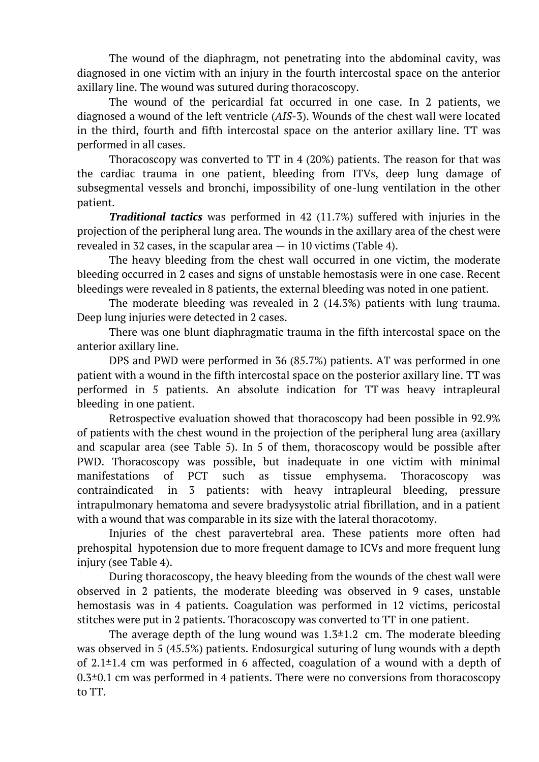The wound of the diaphragm, not penetrating into the abdominal cavity, was diagnosed in one victim with an injury in the fourth intercostal space on the anterior axillary line. The wound was sutured during thoracoscopy.

The wound of the pericardial fat occurred in one case. In 2 patients, we diagnosed a wound of the left ventricle (*AIS*-3). Wounds of the chest wall were located in the third, fourth and fifth intercostal space on the anterior axillary line. TT was performed in all cases.

Thoracoscopy was converted to TT in 4 (20%) patients. The reason for that was the cardiac trauma in one patient, bleeding from ITVs, deep lung damage of subsegmental vessels and bronchi, impossibility of one-lung ventilation in the other patient.

*Traditional tactics* was performed in 42 (11.7%) suffered with injuries in the projection of the peripheral lung area. The wounds in the axillary area of the chest were revealed in 32 cases, in the scapular area — in 10 victims (Table 4).

The heavy bleeding from the chest wall occurred in one victim, the moderate bleeding occurred in 2 cases and signs of unstable hemostasis were in one case. Recent bleedings were revealed in 8 patients, the external bleeding was noted in one patient.

The moderate bleeding was revealed in 2 (14.3%) patients with lung trauma. Deep lung injuries were detected in 2 cases.

There was one blunt diaphragmatic trauma in the fifth intercostal space on the anterior axillary line.

DPS and PWD were performed in 36 (85.7%) patients. AT was performed in one patient with a wound in the fifth intercostal space on the posterior axillary line. TT was performed in 5 patients. An absolute indication for TT was heavy intrapleural bleeding in one patient.

Retrospective evaluation showed that thoracoscopy had been possible in 92.9% of patients with the chest wound in the projection of the peripheral lung area (axillary and scapular area (see Table 5). In 5 of them, thoracoscopy would be possible after PWD. Thoracoscopy was possible, but inadequate in one victim with minimal manifestations of PCT such as tissue emphysema. Thoracoscopy was contraindicated in 3 patients: with heavy intrapleural bleeding, pressure intrapulmonary hematoma and severe bradysystolic atrial fibrillation, and in a patient with a wound that was comparable in its size with the lateral thoracotomy.

Injuries of the chest paravertebral area. These patients more often had prehospital hypotension due to more frequent damage to ICVs and more frequent lung injury (see Table 4).

During thoracoscopy, the heavy bleeding from the wounds of the chest wall were observed in 2 patients, the moderate bleeding was observed in 9 cases, unstable hemostasis was in 4 patients. Coagulation was performed in 12 victims, pericostal stitches were put in 2 patients. Thoracoscopy was converted to TT in one patient.

The average depth of the lung wound was  $1.3\pm1.2$  cm. The moderate bleeding was observed in 5 (45.5%) patients. Endosurgical suturing of lung wounds with a depth of  $2.1\pm1.4$  cm was performed in 6 affected, coagulation of a wound with a depth of  $0.3\pm0.1$  cm was performed in 4 patients. There were no conversions from thoracoscopy to TT.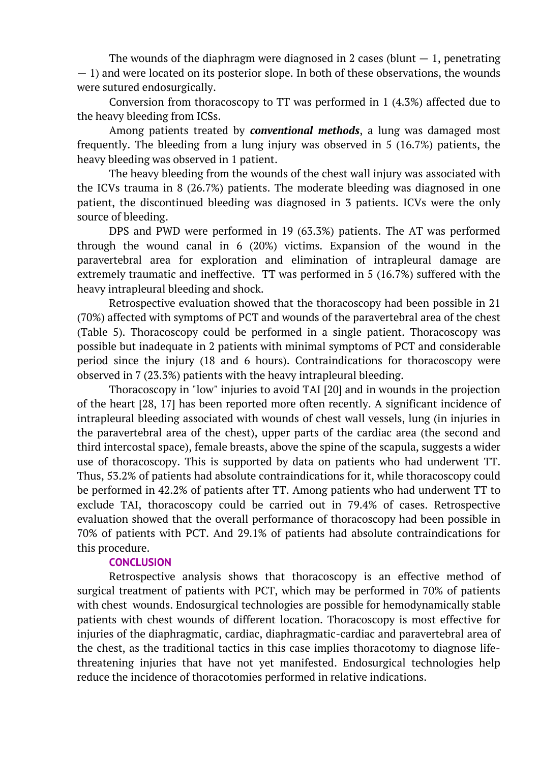The wounds of the diaphragm were diagnosed in 2 cases (blunt  $-1$ , penetrating — 1) and were located on its posterior slope. In both of these observations, the wounds were sutured endosurgically.

Conversion from thoracoscopy to TT was performed in 1 (4.3%) affected due to the heavy bleeding from ICSs.

Among patients treated by *conventional methods*, a lung was damaged most frequently. The bleeding from a lung injury was observed in 5 (16.7%) patients, the heavy bleeding was observed in 1 patient.

The heavy bleeding from the wounds of the chest wall injury was associated with the ICVs trauma in 8 (26.7%) patients. The moderate bleeding was diagnosed in one patient, the discontinued bleeding was diagnosed in 3 patients. ICVs were the only source of bleeding.

DPS and PWD were performed in 19 (63.3%) patients. The AT was performed through the wound canal in 6 (20%) victims. Expansion of the wound in the paravertebral area for exploration and elimination of intrapleural damage are extremely traumatic and ineffective. TT was performed in 5 (16.7%) suffered with the heavy intrapleural bleeding and shock.

Retrospective evaluation showed that the thoracoscopy had been possible in 21 (70%) affected with symptoms of PCT and wounds of the paravertebral area of the chest (Table 5). Thoracoscopy could be performed in a single patient. Thoracoscopy was possible but inadequate in 2 patients with minimal symptoms of PCT and considerable period since the injury (18 and 6 hours). Contraindications for thoracoscopy were observed in 7 (23.3%) patients with the heavy intrapleural bleeding.

Thoracoscopy in "low" injuries to avoid TAI [20] and in wounds in the projection of the heart [28, 17] has been reported more often recently. A significant incidence of intrapleural bleeding associated with wounds of chest wall vessels, lung (in injuries in the paravertebral area of the chest), upper parts of the cardiac area (the second and third intercostal space), female breasts, above the spine of the scapula, suggests a wider use of thoracoscopy. This is supported by data on patients who had underwent TT. Thus, 53.2% of patients had absolute contraindications for it, while thoracoscopy could be performed in 42.2% of patients after TT. Among patients who had underwent TT to exclude TAI, thoracoscopy could be carried out in 79.4% of cases. Retrospective evaluation showed that the overall performance of thoracoscopy had been possible in 70% of patients with PCT. And 29.1% of patients had absolute contraindications for this procedure.

## **CONCLUSION**

Retrospective analysis shows that thoracoscopy is an effective method of surgical treatment of patients with PCT, which may be performed in 70% of patients with chest wounds. Endosurgical technologies are possible for hemodynamically stable patients with chest wounds of different location. Thoracoscopy is most effective for injuries of the diaphragmatic, cardiac, diaphragmatic-cardiac and paravertebral area of the chest, as the traditional tactics in this case implies thoracotomy to diagnose lifethreatening injuries that have not yet manifested. Endosurgical technologies help reduce the incidence of thoracotomies performed in relative indications.